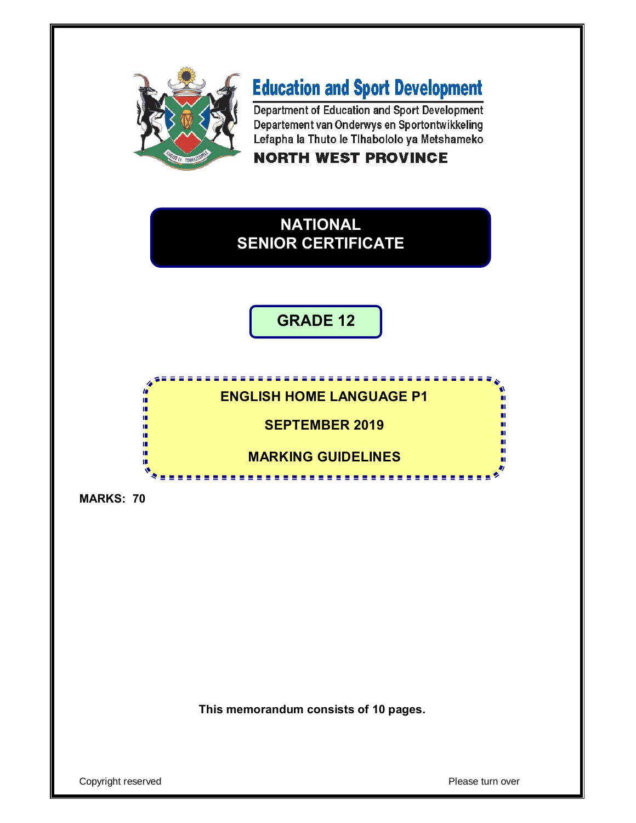

# **Education and Sport Development**

Department of Education and Sport Development Departement van Onderwys en Sportontwikkeling Lefapha la Thuto le Tihabololo ya Metshameko

## **NORTH WEST PROVINCE**



**GRADE 12**

## **ENGLISH HOME LANGUAGE P1**

-----------------

**SEPTEMBER 2019**

**MARKING GUIDELINES**

**MARKS: 70**

I. 唓 ú, ú, ú.

庫 ú, I. ú Ŵ

**This memorandum consists of 10 pages.**

Copyright reserved **Please turn over**  $\blacksquare$ 

п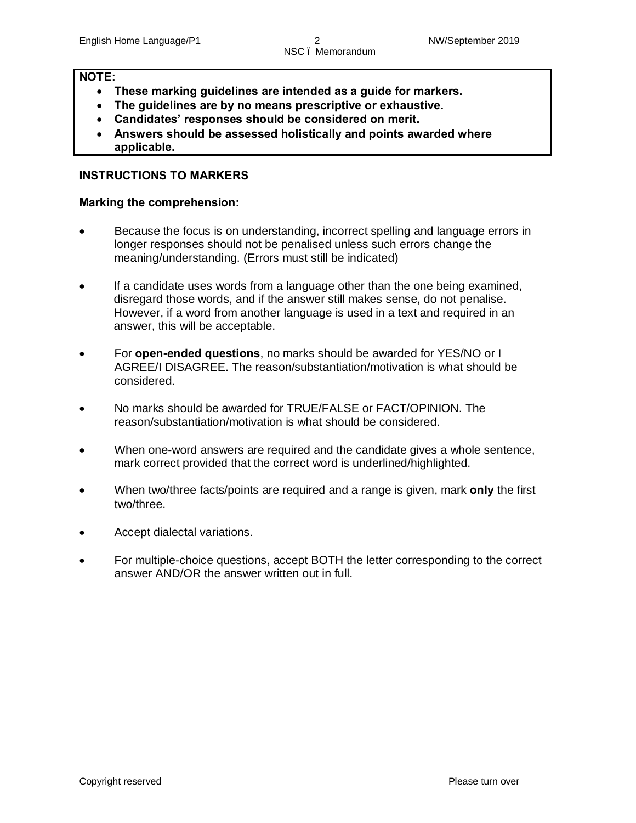## **NOTE:**

- · **These marking guidelines are intended as a guide for markers.**
- · **The guidelines are by no means prescriptive or exhaustive.**
- · **Candidates' responses should be considered on merit.**
- · **Answers should be assessed holistically and points awarded where applicable.**

## **INSTRUCTIONS TO MARKERS**

#### **Marking the comprehension:**

- · Because the focus is on understanding, incorrect spelling and language errors in longer responses should not be penalised unless such errors change the meaning/understanding. (Errors must still be indicated)
- If a candidate uses words from a language other than the one being examined, disregard those words, and if the answer still makes sense, do not penalise. However, if a word from another language is used in a text and required in an answer, this will be acceptable.
- · For **open-ended questions**, no marks should be awarded for YES/NO or I AGREE/I DISAGREE. The reason/substantiation/motivation is what should be considered.
- · No marks should be awarded for TRUE/FALSE or FACT/OPINION. The reason/substantiation/motivation is what should be considered.
- · When one-word answers are required and the candidate gives a whole sentence, mark correct provided that the correct word is underlined/highlighted.
- · When two/three facts/points are required and a range is given, mark **only** the first two/three.
- · Accept dialectal variations.
- For multiple-choice questions, accept BOTH the letter corresponding to the correct answer AND/OR the answer written out in full.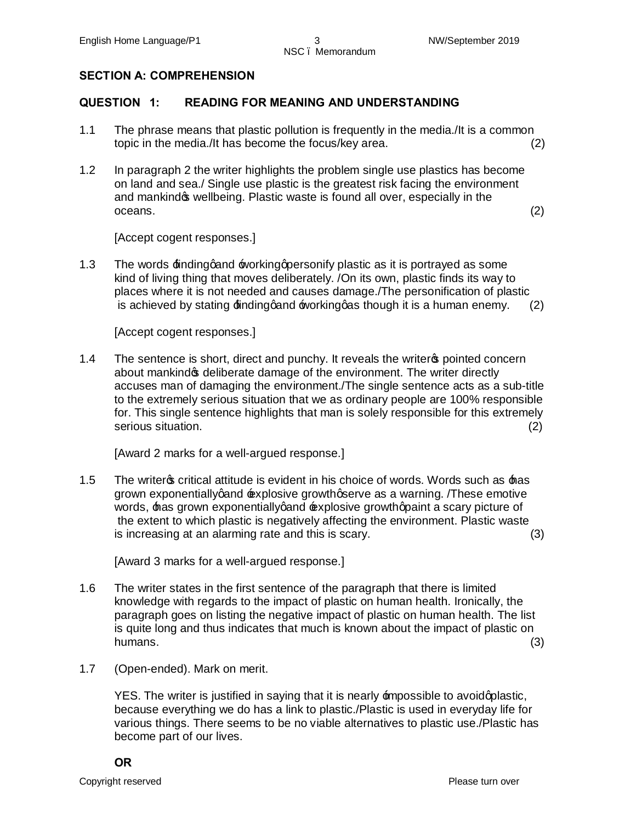## **SECTION A: COMPREHENSION**

## **QUESTION 1: READING FOR MEANING AND UNDERSTANDING**

- 1.1 The phrase means that plastic pollution is frequently in the media./It is a common topic in the media./It has become the focus/key area. (2)
- 1.2 In paragraph 2 the writer highlights the problem single use plastics has become on land and sea./ Single use plastic is the greatest risk facing the environment and mankind t wellbeing. Plastic waste is found all over, especially in the  $oceans.$  (2)

[Accept cogent responses.]

1.3 The words  $\pm$ inding gand  $\pm$  vorking appersonify plastic as it is portrayed as some kind of living thing that moves deliberately. /On its own, plastic finds its way to places where it is not needed and causes damage./The personification of plastic is achieved by stating  $\pm i$ ndinggand  $\pm i$ vorkinggas though it is a human enemy. (2)

[Accept cogent responses.]

1.4 The sentence is short, direct and punchy. It reveals the writer pointed concern about mankind os deliberate damage of the environment. The writer directly accuses man of damaging the environment./The single sentence acts as a sub-title to the extremely serious situation that we as ordinary people are 100% responsible for. This single sentence highlights that man is solely responsible for this extremely serious situation. (2)

[Award 2 marks for a well-argued response.]

1.5 The writer os critical attitude is evident in his choice of words. Words such as  $\pm$ as grown exponentially gand  $\pm x$  plosive growth gserve as a warning. These emotive words, has grown exponentially gand rexplosive growth a paint a scary picture of the extent to which plastic is negatively affecting the environment. Plastic waste is increasing at an alarming rate and this is scary. (3)

[Award 3 marks for a well-argued response.]

- 1.6 The writer states in the first sentence of the paragraph that there is limited knowledge with regards to the impact of plastic on human health. Ironically, the paragraph goes on listing the negative impact of plastic on human health. The list is quite long and thus indicates that much is known about the impact of plastic on humans. (3)
- 1.7 (Open-ended). Mark on merit.

YES. The writer is justified in saying that it is nearly impossible to avoidgplastic, because everything we do has a link to plastic./Plastic is used in everyday life for various things. There seems to be no viable alternatives to plastic use./Plastic has become part of our lives.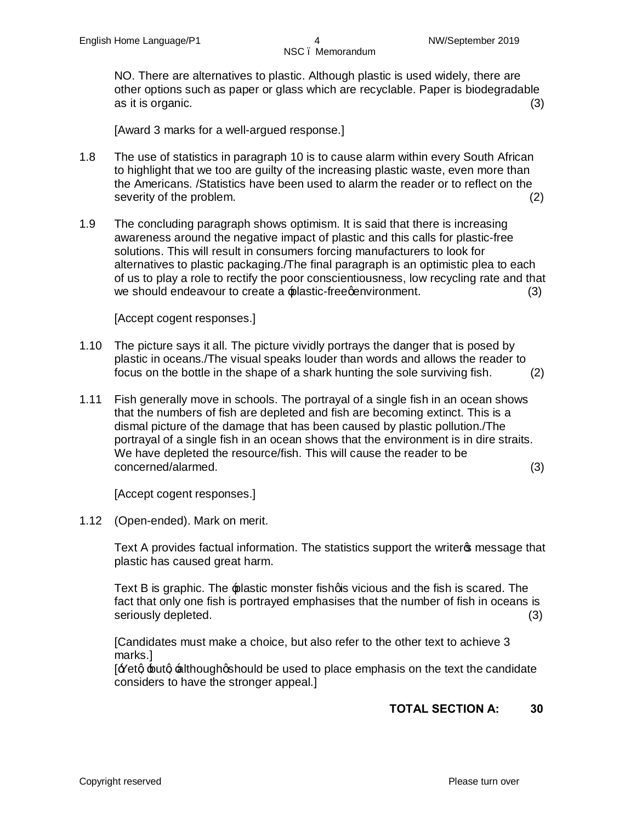NO. There are alternatives to plastic. Although plastic is used widely, there are other options such as paper or glass which are recyclable. Paper is biodegradable as it is organic. (3)

[Award 3 marks for a well-argued response.]

- 1.8 The use of statistics in paragraph 10 is to cause alarm within every South African to highlight that we too are guilty of the increasing plastic waste, even more than the Americans. /Statistics have been used to alarm the reader or to reflect on the severity of the problem. (2) (2)
- 1.9 The concluding paragraph shows optimism. It is said that there is increasing awareness around the negative impact of plastic and this calls for plastic-free solutions. This will result in consumers forcing manufacturers to look for alternatives to plastic packaging./The final paragraph is an optimistic plea to each of us to play a role to rectify the poor conscientiousness, low recycling rate and that we should endeavour to create a  $\triangle$ plastic-free environment. (3)

[Accept cogent responses.]

- 1.10 The picture says it all. The picture vividly portrays the danger that is posed by plastic in oceans./The visual speaks louder than words and allows the reader to focus on the bottle in the shape of a shark hunting the sole surviving fish. (2)
- 1.11 Fish generally move in schools. The portrayal of a single fish in an ocean shows that the numbers of fish are depleted and fish are becoming extinct. This is a dismal picture of the damage that has been caused by plastic pollution./The portrayal of a single fish in an ocean shows that the environment is in dire straits. We have depleted the resource/fish. This will cause the reader to be concerned/alarmed. (3)

[Accept cogent responses.]

1.12 (Open-ended). Mark on merit.

Text A provides factual information. The statistics support the writer opmessage that plastic has caused great harm.

Text B is graphic. The plastic monster fish gis vicious and the fish is scared. The fact that only one fish is portrayed emphasises that the number of fish in oceans is seriously depleted. (3) (3)

[Candidates must make a choice, but also refer to the other text to achieve 3 marks.]

 $\mathbf{F}$ etg  $\pm$ utg  $\pm$ lthoughgshould be used to place emphasis on the text the candidate considers to have the stronger appeal.]

## **TOTAL SECTION A: 30**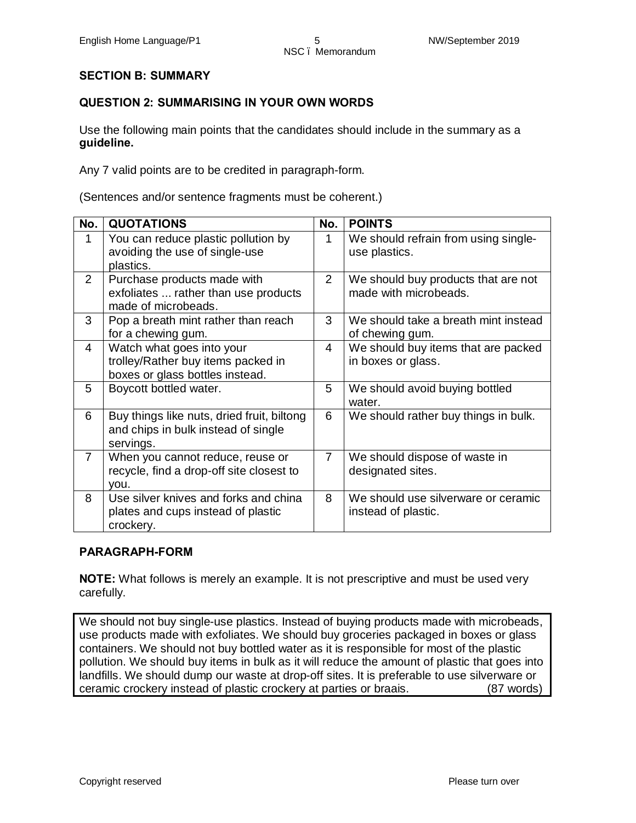## **SECTION B: SUMMARY**

## **QUESTION 2: SUMMARISING IN YOUR OWN WORDS**

Use the following main points that the candidates should include in the summary as a **guideline.**

Any 7 valid points are to be credited in paragraph-form.

(Sentences and/or sentence fragments must be coherent.)

| No.            | <b>QUOTATIONS</b>                                                                                  | No.            | <b>POINTS</b>                                                |
|----------------|----------------------------------------------------------------------------------------------------|----------------|--------------------------------------------------------------|
| 1              | You can reduce plastic pollution by<br>avoiding the use of single-use<br>plastics.                 | 1              | We should refrain from using single-<br>use plastics.        |
| $\overline{2}$ | Purchase products made with<br>exfoliates  rather than use products<br>made of microbeads.         | $\overline{2}$ | We should buy products that are not<br>made with microbeads. |
| 3              | Pop a breath mint rather than reach<br>for a chewing gum.                                          | 3              | We should take a breath mint instead<br>of chewing gum.      |
| 4              | Watch what goes into your<br>trolley/Rather buy items packed in<br>boxes or glass bottles instead. | 4              | We should buy items that are packed<br>in boxes or glass.    |
| 5              | Boycott bottled water.                                                                             | 5              | We should avoid buying bottled<br>water.                     |
| 6              | Buy things like nuts, dried fruit, biltong<br>and chips in bulk instead of single<br>servings.     | 6              | We should rather buy things in bulk.                         |
| $\overline{7}$ | When you cannot reduce, reuse or<br>recycle, find a drop-off site closest to<br>you.               | $\overline{7}$ | We should dispose of waste in<br>designated sites.           |
| 8              | Use silver knives and forks and china<br>plates and cups instead of plastic<br>crockery.           | 8              | We should use silverware or ceramic<br>instead of plastic.   |

#### **PARAGRAPH-FORM**

**NOTE:** What follows is merely an example. It is not prescriptive and must be used very carefully.

We should not buy single-use plastics. Instead of buying products made with microbeads, use products made with exfoliates. We should buy groceries packaged in boxes or glass containers. We should not buy bottled water as it is responsible for most of the plastic pollution. We should buy items in bulk as it will reduce the amount of plastic that goes into landfills. We should dump our waste at drop-off sites. It is preferable to use silverware or ceramic crockery instead of plastic crockery at parties or braais. (87 words)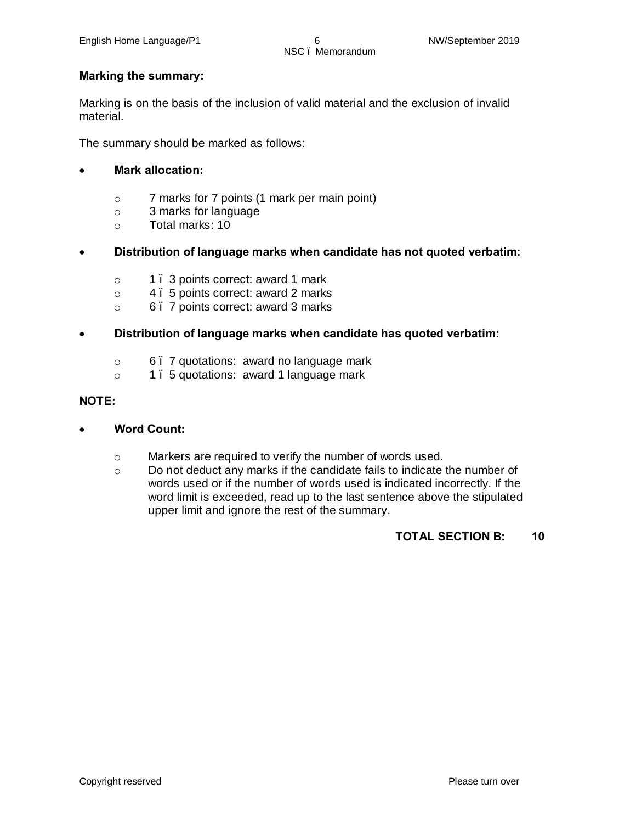## **Marking the summary:**

Marking is on the basis of the inclusion of valid material and the exclusion of invalid material.

The summary should be marked as follows:

## · **Mark allocation:**

- o 7 marks for 7 points (1 mark per main point)
- o 3 marks for language
- o Total marks: 10
- · **Distribution of language marks when candidate has not quoted verbatim:**
	- o 1 3 points correct: award 1 mark
	- o 4 5 points correct: award 2 marks
	- o 6 7 points correct: award 3 marks

## · **Distribution of language marks when candidate has quoted verbatim:**

- o 6 7 quotations: award no language mark
- o 1 5 quotations: award 1 language mark

### **NOTE:**

- · **Word Count:**
	- o Markers are required to verify the number of words used.
	- $\circ$  Do not deduct any marks if the candidate fails to indicate the number of words used or if the number of words used is indicated incorrectly. If the word limit is exceeded, read up to the last sentence above the stipulated upper limit and ignore the rest of the summary.

#### **TOTAL SECTION B: 10**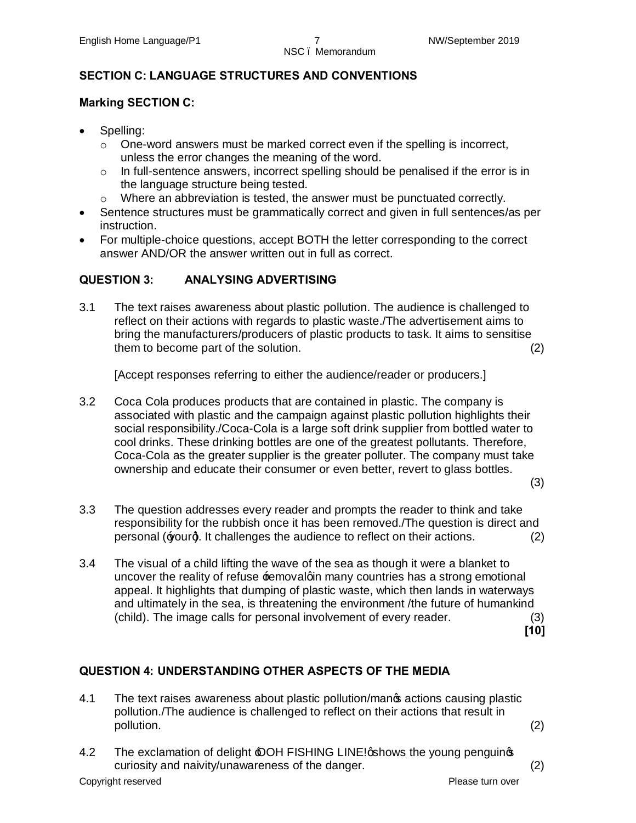## **SECTION C: LANGUAGE STRUCTURES AND CONVENTIONS**

## **Marking SECTION C:**

- Spelling:
	- $\circ$  One-word answers must be marked correct even if the spelling is incorrect, unless the error changes the meaning of the word.
	- o In full-sentence answers, incorrect spelling should be penalised if the error is in the language structure being tested.
	- o Where an abbreviation is tested, the answer must be punctuated correctly.
- · Sentence structures must be grammatically correct and given in full sentences/as per instruction.
- · For multiple-choice questions, accept BOTH the letter corresponding to the correct answer AND/OR the answer written out in full as correct.

## **QUESTION 3: ANALYSING ADVERTISING**

3.1 The text raises awareness about plastic pollution. The audience is challenged to reflect on their actions with regards to plastic waste./The advertisement aims to bring the manufacturers/producers of plastic products to task. It aims to sensitise them to become part of the solution. (2)

[Accept responses referring to either the audience/reader or producers.]

3.2 Coca Cola produces products that are contained in plastic. The company is associated with plastic and the campaign against plastic pollution highlights their social responsibility./Coca-Cola is a large soft drink supplier from bottled water to cool drinks. These drinking bottles are one of the greatest pollutants. Therefore, Coca-Cola as the greater supplier is the greater polluter. The company must take ownership and educate their consumer or even better, revert to glass bottles.

(3)

- 3.3 The question addresses every reader and prompts the reader to think and take responsibility for the rubbish once it has been removed./The question is direct and personal  $\equiv$  ourg. It challenges the audience to reflect on their actions. (2)
- 3.4 The visual of a child lifting the wave of the sea as though it were a blanket to uncover the reality of refuse **temovalgin many countries has a strong emotional** appeal. It highlights that dumping of plastic waste, which then lands in waterways and ultimately in the sea, is threatening the environment /the future of humankind (child). The image calls for personal involvement of every reader. (3) **[10]**

## **QUESTION 4: UNDERSTANDING OTHER ASPECTS OF THE MEDIA**

- 4.1 The text raises awareness about plastic pollution/manos actions causing plastic pollution./The audience is challenged to reflect on their actions that result in pollution. (2)
	-
- 4.2 The exclamation of delight  $\triangle$ OH FISHING LINE! qshows the young penguings curiosity and naivity/unawareness of the danger. (2)

Copyright reserved **Please turn over**  $\blacksquare$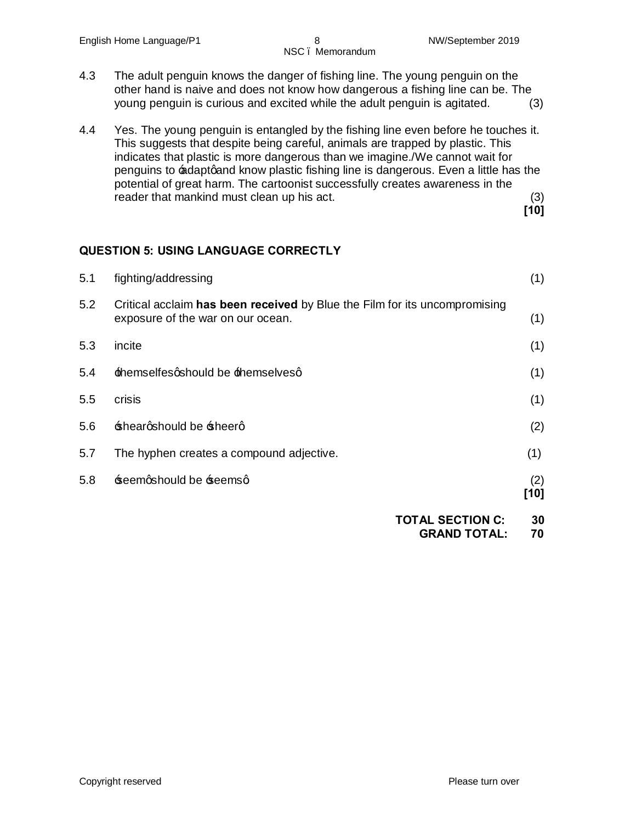- 4.3 The adult penguin knows the danger of fishing line. The young penguin on the other hand is naive and does not know how dangerous a fishing line can be. The young penguin is curious and excited while the adult penguin is agitated. (3)
- 4.4 Yes. The young penguin is entangled by the fishing line even before he touches it. This suggests that despite being careful, animals are trapped by plastic. This indicates that plastic is more dangerous than we imagine./We cannot wait for penguins to adaptgand know plastic fishing line is dangerous. Even a little has the potential of great harm. The cartoonist successfully creates awareness in the reader that mankind must clean up his act. (3) **[10]**

## **QUESTION 5: USING LANGUAGE CORRECTLY**

| 5.2<br>Critical acclaim has been received by Blue the Film for its uncompromising<br>exposure of the war on our ocean.<br>5.3<br>incite<br>themselfesqshould be themselvesq<br>5.4<br>5.5<br>crisis<br>5.6<br>sheargshould be sheerg<br>5.7<br>The hyphen creates a compound adjective.<br>(1)<br>5.8<br>seemqshould be seemsq<br>(2) | 5.1 | fighting/addressing | (1)  |
|---------------------------------------------------------------------------------------------------------------------------------------------------------------------------------------------------------------------------------------------------------------------------------------------------------------------------------------|-----|---------------------|------|
|                                                                                                                                                                                                                                                                                                                                       |     |                     | (1)  |
|                                                                                                                                                                                                                                                                                                                                       |     |                     | (1)  |
|                                                                                                                                                                                                                                                                                                                                       |     |                     | (1)  |
|                                                                                                                                                                                                                                                                                                                                       |     |                     | (1)  |
|                                                                                                                                                                                                                                                                                                                                       |     |                     | (2)  |
|                                                                                                                                                                                                                                                                                                                                       |     |                     |      |
|                                                                                                                                                                                                                                                                                                                                       |     |                     | [10] |

| <b>TOTAL SECTION C:</b> | 30 |
|-------------------------|----|
| <b>GRAND TOTAL:</b>     | 70 |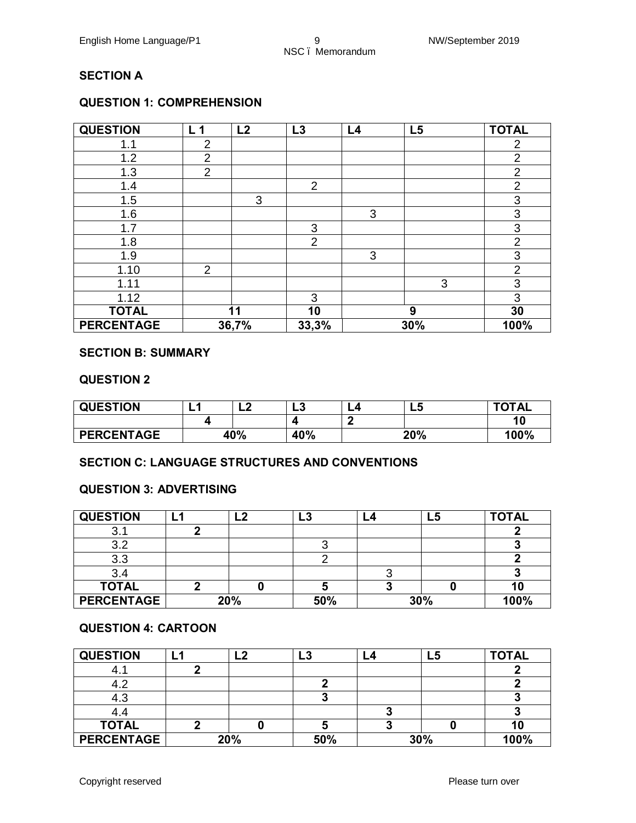# NSC – Memorandum

## **SECTION A**

## **QUESTION 1: COMPREHENSION**

| <b>QUESTION</b>   | L <sub>1</sub> | L2    | L3             | L4 | L5  | <b>TOTAL</b>   |
|-------------------|----------------|-------|----------------|----|-----|----------------|
| 1.1               | $\overline{2}$ |       |                |    |     | 2              |
| 1.2               | $\overline{2}$ |       |                |    |     | $\overline{2}$ |
| 1.3               | $\overline{2}$ |       |                |    |     | $\overline{2}$ |
| 1.4               |                |       | $\overline{2}$ |    |     | $\overline{2}$ |
| 1.5               |                | 3     |                |    |     | 3              |
| 1.6               |                |       |                | 3  |     | 3              |
| 1.7               |                |       | 3              |    |     | 3              |
| 1.8               |                |       | $\overline{2}$ |    |     | $\overline{2}$ |
| 1.9               |                |       |                | 3  |     | 3              |
| 1.10              | $\overline{2}$ |       |                |    |     | $\overline{2}$ |
| 1.11              |                |       |                |    | 3   | 3              |
| 1.12              |                |       | 3              |    |     | 3              |
| <b>TOTAL</b>      |                | 11    | 10             |    | 9   | 30             |
| <b>PERCENTAGE</b> |                | 36,7% | 33,3%          |    | 30% | 100%           |

#### **SECTION B: SUMMARY**

#### **QUESTION 2**

| <b>QUESTION</b>   | -                 | ◠<br>-4 | G<br>Lv | L4   | LJ | <b>TOTAL</b> |
|-------------------|-------------------|---------|---------|------|----|--------------|
|                   |                   |         | -       |      |    | 10           |
| <b>PERCENTAGE</b> | 20%<br>40%<br>40% |         |         | 100% |    |              |

#### **SECTION C: LANGUAGE STRUCTURES AND CONVENTIONS**

#### **QUESTION 3: ADVERTISING**

| <b>QUESTION</b>   | L2  | L <sub>3</sub> | L4 | L5  | <b>TOTAL</b> |
|-------------------|-----|----------------|----|-----|--------------|
| ວ. ເ              |     |                |    |     |              |
| 3.2               |     |                |    |     |              |
| 3.3               |     |                |    |     |              |
| 3.4               |     |                |    |     |              |
| <b>TOTAL</b>      |     |                |    |     |              |
| <b>PERCENTAGE</b> | 20% | 50%            |    | 30% | 100%         |

#### **QUESTION 4: CARTOON**

| <b>QUESTION</b>   | L2  | L3  | -4 | L5  | <b>TOTAL</b> |
|-------------------|-----|-----|----|-----|--------------|
| <sup>4.</sup>     |     |     |    |     |              |
|                   |     |     |    |     |              |
| 4.3               |     |     |    |     |              |
|                   |     |     |    |     |              |
| <b>TOTAL</b>      |     |     |    |     | 10           |
| <b>PERCENTAGE</b> | 20% | 50% |    | 30% | 100%         |